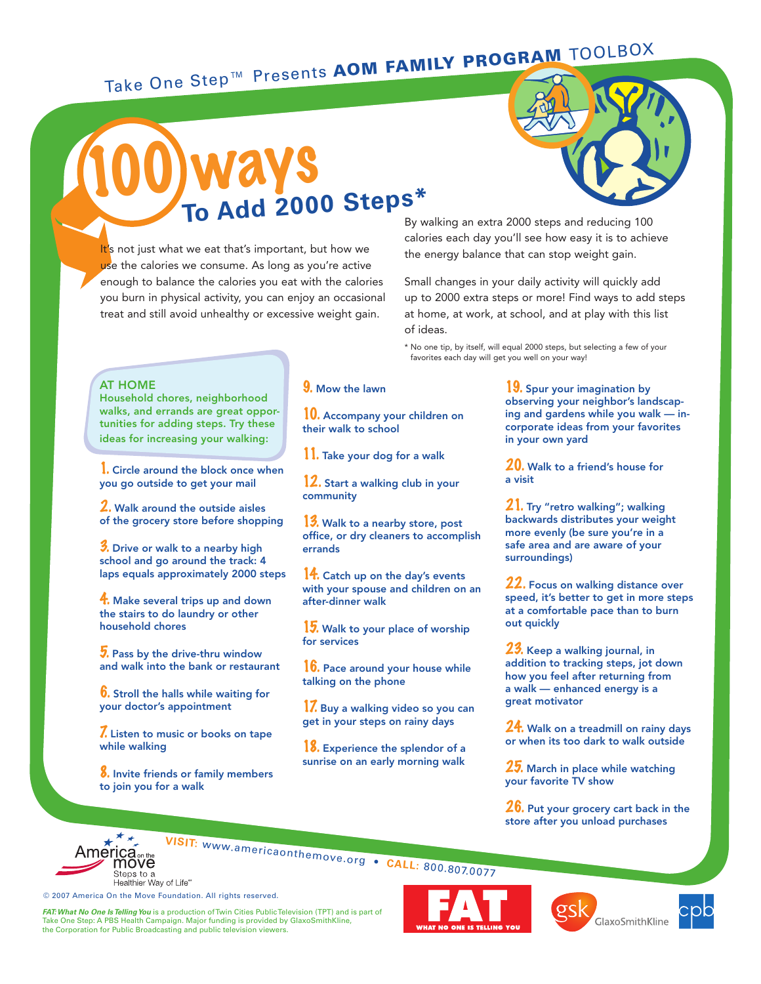### Take One Step™ Presents AOM FAMILY PROGRAM TOOLBOX

### 100 ways To Add 2000 Steps\*

It's not just what we eat that's important, but how we use the calories we consume. As long as you're active enough to balance the calories you eat with the calories you burn in physical activity, you can enjoy an occasional treat and still avoid unhealthy or excessive weight gain.



By walking an extra 2000 steps and reducing 100 calories each day you'll see how easy it is to achieve the energy balance that can stop weight gain.

Small changes in your daily activity will quickly add up to 2000 extra steps or more! Find ways to add steps at home, at work, at school, and at play with this list of ideas.

\* No one tip, by itself, will equal 2000 steps, but selecting a few of your favorites each day will get you well on your way!

#### AT HOME

Household chores, neighborhood walks, and errands are great opportunities for adding steps. Try these ideas for increasing your walking:

1. Circle around the block once when you go outside to get your mail

2. Walk around the outside aisles of the grocery store before shopping

3. Drive or walk to a nearby high school and go around the track: 4 laps equals approximately 2000 steps

4. Make several trips up and down the stairs to do laundry or other household chores

**7.** Pass by the drive-thru window and walk into the bank or restaurant

**6.** Stroll the halls while waiting for your doctor's appointment

7. Listen to music or books on tape while walking

8. Invite friends or family members to join you for a walk

#### 9. Mow the lawn

10. Accompany your children on their walk to school

11. Take your dog for a walk

12. Start a walking club in your community

13. Walk to a nearby store, post office, or dry cleaners to accomplish errands

14. Catch up on the day's events with your spouse and children on an after-dinner walk

15. Walk to your place of worship for services

16. Pace around your house while talking on the phone

1. Buy a walking video so you can get in your steps on rainy days

18. Experience the splendor of a sunrise on an early morning walk

19. Spur your imagination by observing your neighbor's landscaping and gardens while you walk — incorporate ideas from your favorites in your own yard

20. Walk to a friend's house for a visit

21. Try "retro walking"; walking backwards distributes your weight more evenly (be sure you're in a safe area and are aware of your surroundings)

22. Focus on walking distance over speed, it's better to get in more steps at a comfortable pace than to burn out quickly

23. Keep a walking journal, in addition to tracking steps, jot down how you feel after returning from a walk — enhanced energy is a great motivator

 $24$ . Walk on a treadmill on rainy days or when its too dark to walk outside

25. March in place while watching your favorite TV show

**26.** Put your grocery cart back in the store after you unload purchases





GlaxoSmithKline



© 2007 America On the Move Foundation. All rights reserved.

*FAT: What No One Is Telling You* is a production of Twin Cities Public Television (TPT) and is part of Take One Step: A PBS Health Campaign. Major funding is provided by GlaxoSmithKline, the Corporation for Public Broadcasting and public television viewers.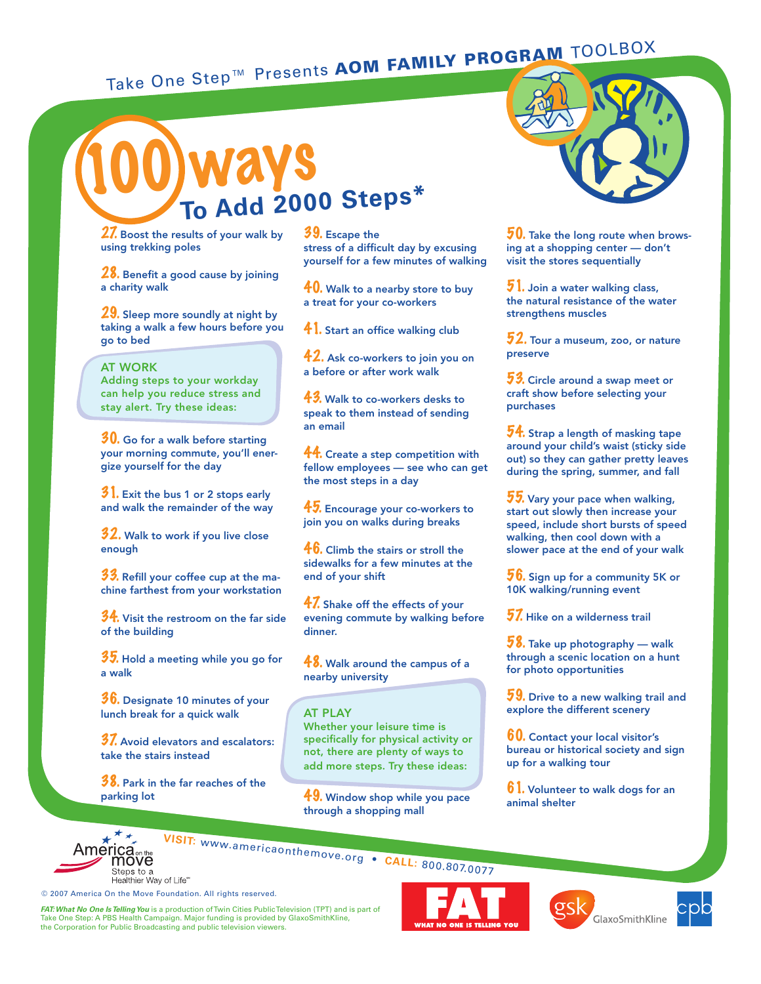## Take One Step™ Presents AOM FAMILY PROGRAM TOOLBOX



27. Boost the results of your walk by using trekking poles

28. Benefit a good cause by joining a charity walk

29. Sleep more soundly at night by taking a walk a few hours before you go to bed

AT WORK Adding steps to your workday can help you reduce stress and stay alert. Try these ideas:

 $30$ . Go for a walk before starting your morning commute, you'll energize yourself for the day

 $31.$  Exit the bus 1 or 2 stops early and walk the remainder of the way

 $32.$  Walk to work if you live close enough

33. Refill your coffee cup at the machine farthest from your workstation

 $34.$  Visit the restroom on the far side of the building

 $35.$  Hold a meeting while you go for a walk

**36.** Designate 10 minutes of your lunch break for a quick walk

 $37.$  Avoid elevators and escalators: take the stairs instead

**38.** Park in the far reaches of the parking lot

© 2007 America On the Move Foundation. All rights reserved.

39. Escape the stress of a difficult day by excusing yourself for a few minutes of walking

 $40$ . Walk to a nearby store to buy a treat for your co-workers

**41.** Start an office walking club

**42.** Ask co-workers to join you on a before or after work walk

**43.** Walk to co-workers desks to speak to them instead of sending an email

44. Create a step competition with fellow employees — see who can get the most steps in a day

45. Encourage your co-workers to ioin you on walks during breaks

 $46.$  Climb the stairs or stroll the sidewalks for a few minutes at the end of your shift

**47.** Shake off the effects of your evening commute by walking before dinner.

**48.** Walk around the campus of a nearby university

#### AT PLAY

Whether your leisure time is specifically for physical activity or not, there are plenty of ways to add more steps. Try these ideas:

49. Window shop while you pace through a shopping mall



 $50$ . Take the long route when browsing at a shopping center — don't visit the stores sequentially

 $\bar{\bm{5}}$  1. Join a water walking class, the natural resistance of the water strengthens muscles

 $\textcolor{red}{52}.$  Tour a museum, zoo, or nature preserve

53. Circle around a swap meet or craft show before selecting your purchases

 $54$ . Strap a length of masking tape around your child's waist (sticky side out) so they can gather pretty leaves during the spring, summer, and fall

55. Vary your pace when walking, start out slowly then increase your speed, include short bursts of speed walking, then cool down with a slower pace at the end of your walk

**. Sign up for a community 5K or** 10K walking/running event

 ${\bf 57}$ . Hike on a wilderness trail

 $58.$  Take up photography — walk through a scenic location on a hunt for photo opportunities

 $\boldsymbol{59}$ . Drive to a new walking trail and explore the different scenery

**60.** Contact your local visitor's bureau or historical society and sign up for a walking tour

 $6$  ). Volunteer to walk dogs for an animal shelter



**VISIT:** www.americaonthemove.org • **CALL: 800.807.0077**<br> **MOVE**<br>
Steps to a<br>
Healther Way of Life "



**GlaxoSmithKline** 



*FAT: What No One Is Telling You* is a production of Twin Cities Public Television (TPT) and is part of Take One Step: A PBS Health Campaign. Major funding is provided by GlaxoSmithKline, the Corporation for Public Broadcasting and public television viewers.